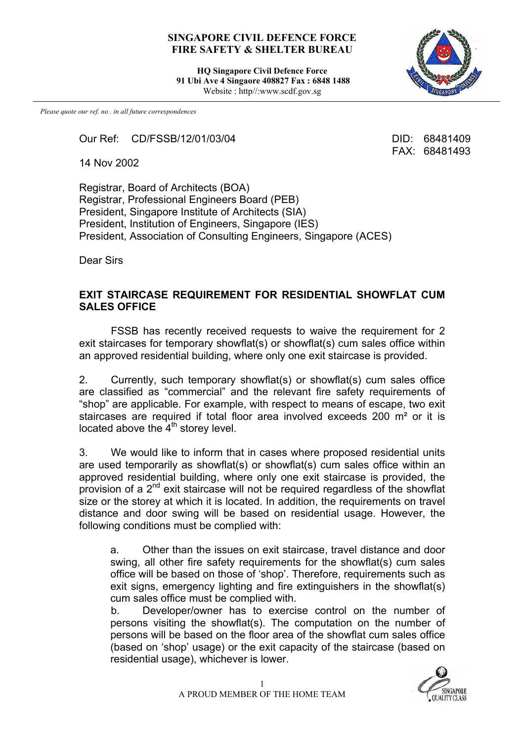## **SINGAPORE CIVIL DEFENCE FORCE FIRE SAFETY & SHELTER BUREAU**

**HQ Singapore Civil Defence Force 91 Ubi Ave 4 Singaore 408827 Fax : 6848 1488** Website : http//:www.scdf.gov.sg



FAX: 68481493

*Please quote our ref. no . in all future correspondences*

Our Ref: CD/FSSB/12/01/03/04 DID: 68481409

14 Nov 2002

Registrar, Board of Architects (BOA) Registrar, Professional Engineers Board (PEB) President, Singapore Institute of Architects (SIA) President, Institution of Engineers, Singapore (IES) President, Association of Consulting Engineers, Singapore (ACES)

Dear Sirs

## **EXIT STAIRCASE REQUIREMENT FOR RESIDENTIAL SHOWFLAT CUM SALES OFFICE**

FSSB has recently received requests to waive the requirement for 2 exit staircases for temporary showflat(s) or showflat(s) cum sales office within an approved residential building, where only one exit staircase is provided.

2. Currently, such temporary showflat(s) or showflat(s) cum sales office are classified as "commercial" and the relevant fire safety requirements of "shop" are applicable. For example, with respect to means of escape, two exit staircases are required if total floor area involved exceeds 200 m<sup>2</sup> or it is located above the  $4<sup>th</sup>$  storey level.

3. We would like to inform that in cases where proposed residential units are used temporarily as showflat(s) or showflat(s) cum sales office within an approved residential building, where only one exit staircase is provided, the provision of a 2nd exit staircase will not be required regardless of the showflat size or the storey at which it is located. In addition, the requirements on travel distance and door swing will be based on residential usage. However, the following conditions must be complied with:

a. Other than the issues on exit staircase, travel distance and door swing, all other fire safety requirements for the showflat(s) cum sales office will be based on those of 'shop'. Therefore, requirements such as exit signs, emergency lighting and fire extinguishers in the showflat(s) cum sales office must be complied with.

b. Developer/owner has to exercise control on the number of persons visiting the showflat(s). The computation on the number of persons will be based on the floor area of the showflat cum sales office (based on 'shop' usage) or the exit capacity of the staircase (based on residential usage), whichever is lower.